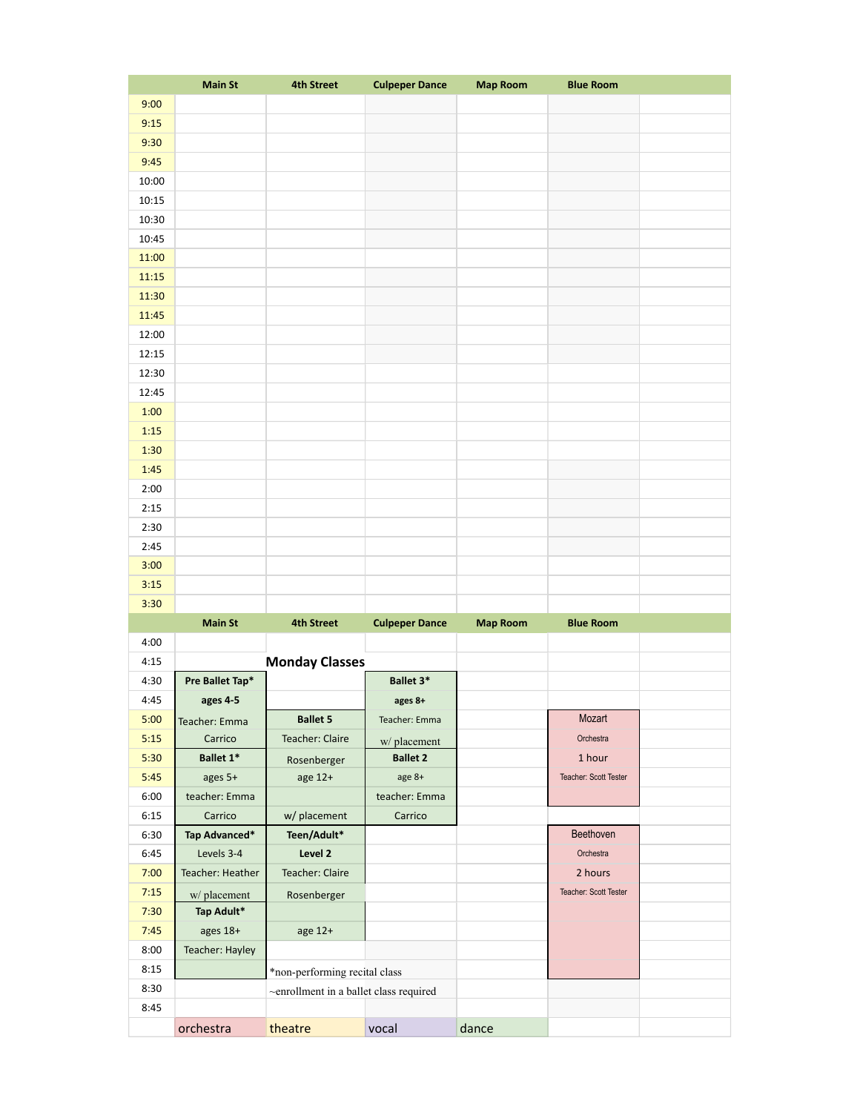|       | <b>Main St</b>   | <b>4th Street</b>                      | <b>Culpeper Dance</b> | <b>Map Room</b> | <b>Blue Room</b>      |  |
|-------|------------------|----------------------------------------|-----------------------|-----------------|-----------------------|--|
| 9:00  |                  |                                        |                       |                 |                       |  |
| 9:15  |                  |                                        |                       |                 |                       |  |
| 9:30  |                  |                                        |                       |                 |                       |  |
| 9:45  |                  |                                        |                       |                 |                       |  |
| 10:00 |                  |                                        |                       |                 |                       |  |
| 10:15 |                  |                                        |                       |                 |                       |  |
| 10:30 |                  |                                        |                       |                 |                       |  |
| 10:45 |                  |                                        |                       |                 |                       |  |
| 11:00 |                  |                                        |                       |                 |                       |  |
| 11:15 |                  |                                        |                       |                 |                       |  |
| 11:30 |                  |                                        |                       |                 |                       |  |
| 11:45 |                  |                                        |                       |                 |                       |  |
| 12:00 |                  |                                        |                       |                 |                       |  |
| 12:15 |                  |                                        |                       |                 |                       |  |
| 12:30 |                  |                                        |                       |                 |                       |  |
| 12:45 |                  |                                        |                       |                 |                       |  |
| 1:00  |                  |                                        |                       |                 |                       |  |
| 1:15  |                  |                                        |                       |                 |                       |  |
| 1:30  |                  |                                        |                       |                 |                       |  |
| 1:45  |                  |                                        |                       |                 |                       |  |
| 2:00  |                  |                                        |                       |                 |                       |  |
| 2:15  |                  |                                        |                       |                 |                       |  |
| 2:30  |                  |                                        |                       |                 |                       |  |
| 2:45  |                  |                                        |                       |                 |                       |  |
| 3:00  |                  |                                        |                       |                 |                       |  |
| 3:15  |                  |                                        |                       |                 |                       |  |
| 3:30  |                  |                                        |                       |                 |                       |  |
|       | <b>Main St</b>   | <b>4th Street</b>                      | <b>Culpeper Dance</b> | <b>Map Room</b> | <b>Blue Room</b>      |  |
| 4:00  |                  |                                        |                       |                 |                       |  |
| 4:15  |                  | <b>Monday Classes</b>                  |                       |                 |                       |  |
| 4:30  | Pre Ballet Tap*  |                                        | Ballet 3*             |                 |                       |  |
| 4:45  | ages 4-5         |                                        | ages 8+               |                 |                       |  |
| 5:00  | Teacher: Emma    | <b>Ballet 5</b>                        | Teacher: Emma         |                 | Mozart                |  |
| 5:15  | Carrico          | <b>Teacher: Claire</b>                 | w/placement           |                 | Orchestra             |  |
| 5:30  | Ballet 1*        | Rosenberger                            | <b>Ballet 2</b>       |                 | 1 hour                |  |
| 5:45  | ages 5+          | age 12+                                | age 8+                |                 | Teacher: Scott Tester |  |
| 6:00  | teacher: Emma    |                                        | teacher: Emma         |                 |                       |  |
| 6:15  | Carrico          | w/ placement                           | Carrico               |                 |                       |  |
| 6:30  | Tap Advanced*    | Teen/Adult*                            |                       |                 | Beethoven             |  |
| 6:45  | Levels 3-4       | Level 2                                |                       |                 | Orchestra             |  |
| 7:00  | Teacher: Heather | Teacher: Claire                        |                       |                 | 2 hours               |  |
| 7:15  | w/placement      | Rosenberger                            |                       |                 | Teacher: Scott Tester |  |
| 7:30  | Tap Adult*       |                                        |                       |                 |                       |  |
| 7:45  | ages 18+         | age 12+                                |                       |                 |                       |  |
| 8:00  | Teacher: Hayley  |                                        |                       |                 |                       |  |
| 8:15  |                  | *non-performing recital class          |                       |                 |                       |  |
| 8:30  |                  | ~enrollment in a ballet class required |                       |                 |                       |  |
| 8:45  |                  |                                        |                       |                 |                       |  |
|       | orchestra        | theatre                                | vocal                 | dance           |                       |  |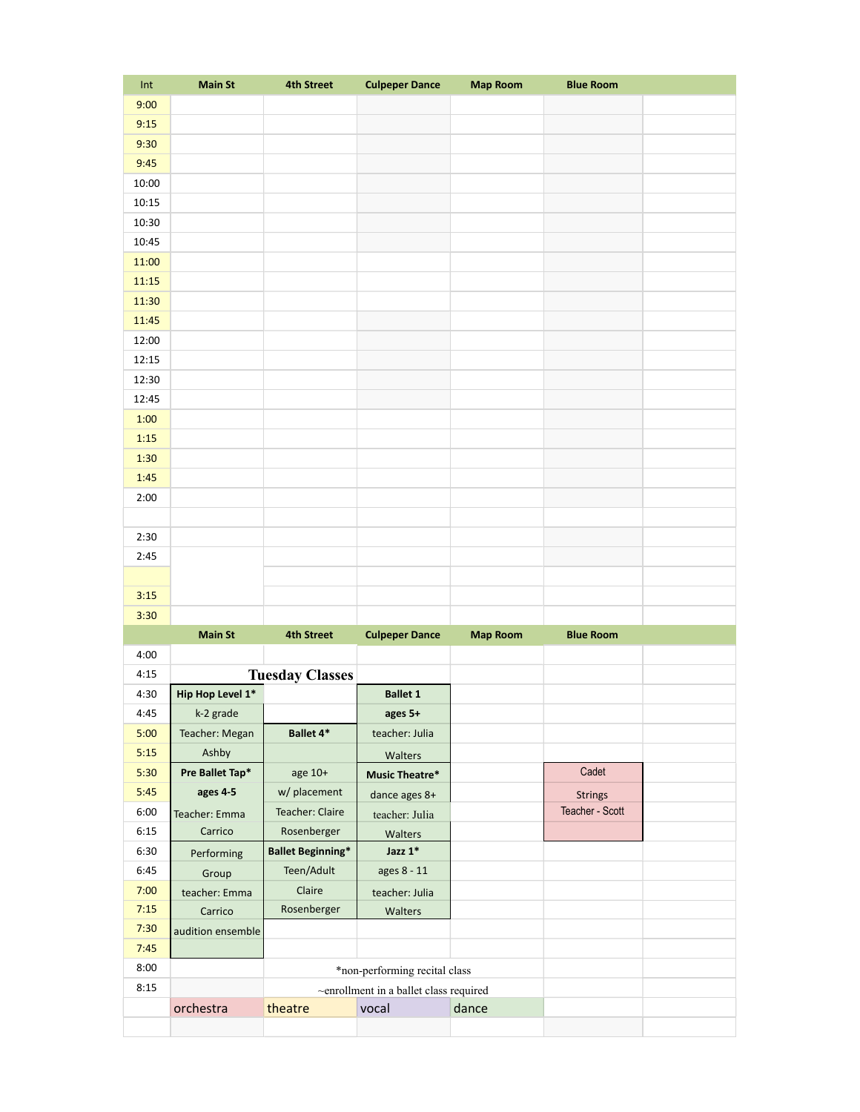| Int   | <b>Main St</b>    | <b>4th Street</b>        | <b>Culpeper Dance</b>                  | <b>Map Room</b> | <b>Blue Room</b> |  |
|-------|-------------------|--------------------------|----------------------------------------|-----------------|------------------|--|
| 9:00  |                   |                          |                                        |                 |                  |  |
| 9:15  |                   |                          |                                        |                 |                  |  |
| 9:30  |                   |                          |                                        |                 |                  |  |
| 9:45  |                   |                          |                                        |                 |                  |  |
| 10:00 |                   |                          |                                        |                 |                  |  |
| 10:15 |                   |                          |                                        |                 |                  |  |
| 10:30 |                   |                          |                                        |                 |                  |  |
| 10:45 |                   |                          |                                        |                 |                  |  |
| 11:00 |                   |                          |                                        |                 |                  |  |
| 11:15 |                   |                          |                                        |                 |                  |  |
| 11:30 |                   |                          |                                        |                 |                  |  |
| 11:45 |                   |                          |                                        |                 |                  |  |
| 12:00 |                   |                          |                                        |                 |                  |  |
| 12:15 |                   |                          |                                        |                 |                  |  |
| 12:30 |                   |                          |                                        |                 |                  |  |
| 12:45 |                   |                          |                                        |                 |                  |  |
| 1:00  |                   |                          |                                        |                 |                  |  |
| 1:15  |                   |                          |                                        |                 |                  |  |
| 1:30  |                   |                          |                                        |                 |                  |  |
| 1:45  |                   |                          |                                        |                 |                  |  |
| 2:00  |                   |                          |                                        |                 |                  |  |
|       |                   |                          |                                        |                 |                  |  |
| 2:30  |                   |                          |                                        |                 |                  |  |
| 2:45  |                   |                          |                                        |                 |                  |  |
|       |                   |                          |                                        |                 |                  |  |
| 3:15  |                   |                          |                                        |                 |                  |  |
| 3:30  |                   |                          |                                        |                 |                  |  |
|       | <b>Main St</b>    | <b>4th Street</b>        | <b>Culpeper Dance</b>                  | <b>Map Room</b> | <b>Blue Room</b> |  |
| 4:00  |                   |                          |                                        |                 |                  |  |
| 4:15  |                   | <b>Tuesday Classes</b>   |                                        |                 |                  |  |
| 4:30  | Hip Hop Level 1*  |                          | <b>Ballet 1</b>                        |                 |                  |  |
| 4:45  | k-2 grade         |                          | ages 5+                                |                 |                  |  |
| 5:00  | Teacher: Megan    | Ballet 4*                | teacher: Julia                         |                 |                  |  |
| 5:15  | Ashby             |                          | Walters                                |                 |                  |  |
| 5:30  | Pre Ballet Tap*   | age 10+                  | <b>Music Theatre*</b>                  |                 | Cadet            |  |
| 5:45  | ages 4-5          | w/ placement             | dance ages 8+                          |                 | <b>Strings</b>   |  |
| 6:00  | Teacher: Emma     | <b>Teacher: Claire</b>   | teacher: Julia                         |                 | Teacher - Scott  |  |
| 6:15  | Carrico           | Rosenberger              | Walters                                |                 |                  |  |
| 6:30  | Performing        | <b>Ballet Beginning*</b> | Jazz $1^*$                             |                 |                  |  |
| 6:45  | Group             | Teen/Adult               | ages 8 - 11                            |                 |                  |  |
| 7:00  | teacher: Emma     | Claire                   | teacher: Julia                         |                 |                  |  |
| 7:15  | Carrico           | Rosenberger              | Walters                                |                 |                  |  |
| 7:30  | audition ensemble |                          |                                        |                 |                  |  |
| 7:45  |                   |                          |                                        |                 |                  |  |
| 8:00  |                   |                          | *non-performing recital class          |                 |                  |  |
| 8:15  |                   |                          | ~enrollment in a ballet class required |                 |                  |  |
|       | orchestra         | theatre                  | vocal                                  | dance           |                  |  |
|       |                   |                          |                                        |                 |                  |  |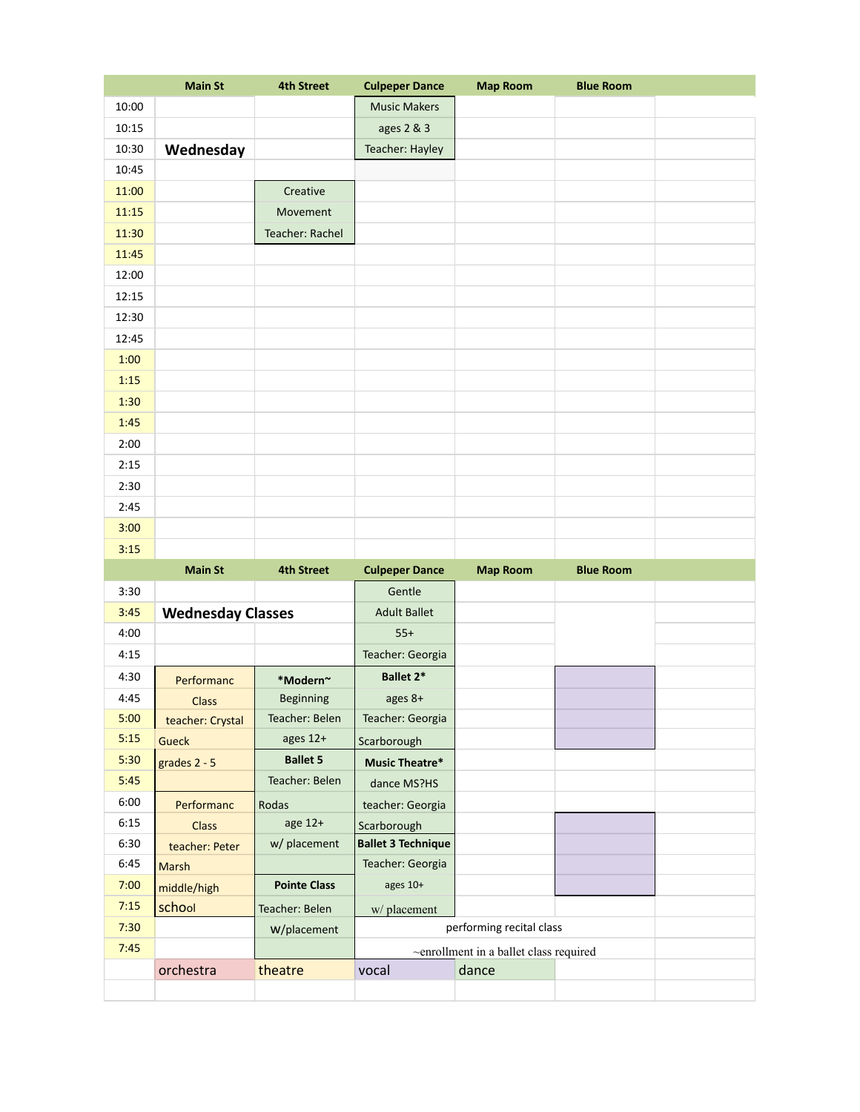|       | <b>Main St</b> | <b>4th Street</b> | <b>Culpeper Dance</b> | <b>Map Room</b> | <b>Blue Room</b> |  |
|-------|----------------|-------------------|-----------------------|-----------------|------------------|--|
| 10:00 |                |                   | <b>Music Makers</b>   |                 |                  |  |
| 10:15 |                |                   | ages 2 & 3            |                 |                  |  |
| 10:30 | Wednesday      |                   | Teacher: Hayley       |                 |                  |  |
| 10:45 |                |                   |                       |                 |                  |  |
| 11:00 |                | Creative          |                       |                 |                  |  |
| 11:15 |                | Movement          |                       |                 |                  |  |
| 11:30 |                | Teacher: Rachel   |                       |                 |                  |  |
| 11:45 |                |                   |                       |                 |                  |  |
| 12:00 |                |                   |                       |                 |                  |  |
| 12:15 |                |                   |                       |                 |                  |  |
| 12:30 |                |                   |                       |                 |                  |  |
| 12:45 |                |                   |                       |                 |                  |  |
| 1:00  |                |                   |                       |                 |                  |  |
| 1:15  |                |                   |                       |                 |                  |  |
| 1:30  |                |                   |                       |                 |                  |  |
| 1:45  |                |                   |                       |                 |                  |  |
| 2:00  |                |                   |                       |                 |                  |  |
| 2:15  |                |                   |                       |                 |                  |  |
| 2:30  |                |                   |                       |                 |                  |  |
| 2:45  |                |                   |                       |                 |                  |  |
| 3:00  |                |                   |                       |                 |                  |  |
| 3:15  |                |                   |                       |                 |                  |  |

|      | <b>Main St</b>           | <b>4th Street</b>   | <b>Culpeper Dance</b>     | <b>Map Room</b>                        | <b>Blue Room</b> |  |
|------|--------------------------|---------------------|---------------------------|----------------------------------------|------------------|--|
| 3:30 |                          |                     | Gentle                    |                                        |                  |  |
| 3:45 | <b>Wednesday Classes</b> |                     | <b>Adult Ballet</b>       |                                        |                  |  |
| 4:00 |                          |                     | $55+$                     |                                        |                  |  |
| 4:15 |                          |                     | Teacher: Georgia          |                                        |                  |  |
| 4:30 | Performanc               | *Modern~            | <b>Ballet 2*</b>          |                                        |                  |  |
| 4:45 | <b>Class</b>             | <b>Beginning</b>    | ages 8+                   |                                        |                  |  |
| 5:00 | teacher: Crystal         | Teacher: Belen      | Teacher: Georgia          |                                        |                  |  |
| 5:15 | <b>Gueck</b>             | ages $12+$          | Scarborough               |                                        |                  |  |
| 5:30 | grades 2 - 5             | <b>Ballet 5</b>     | Music Theatre*            |                                        |                  |  |
| 5:45 |                          | Teacher: Belen      | dance MS?HS               |                                        |                  |  |
| 6:00 | Performanc               | Rodas               | teacher: Georgia          |                                        |                  |  |
| 6:15 | <b>Class</b>             | age 12+             | Scarborough               |                                        |                  |  |
| 6:30 | teacher: Peter           | w/ placement        | <b>Ballet 3 Technique</b> |                                        |                  |  |
| 6:45 | <b>Marsh</b>             |                     | Teacher: Georgia          |                                        |                  |  |
| 7:00 | middle/high              | <b>Pointe Class</b> | ages $10+$                |                                        |                  |  |
| 7:15 | school                   | Teacher: Belen      | w/ placement              |                                        |                  |  |
| 7:30 |                          | W/placement         |                           | performing recital class               |                  |  |
| 7:45 |                          |                     |                           | ~enrollment in a ballet class required |                  |  |
|      | orchestra                | theatre             | vocal                     | dance                                  |                  |  |
|      |                          |                     |                           |                                        |                  |  |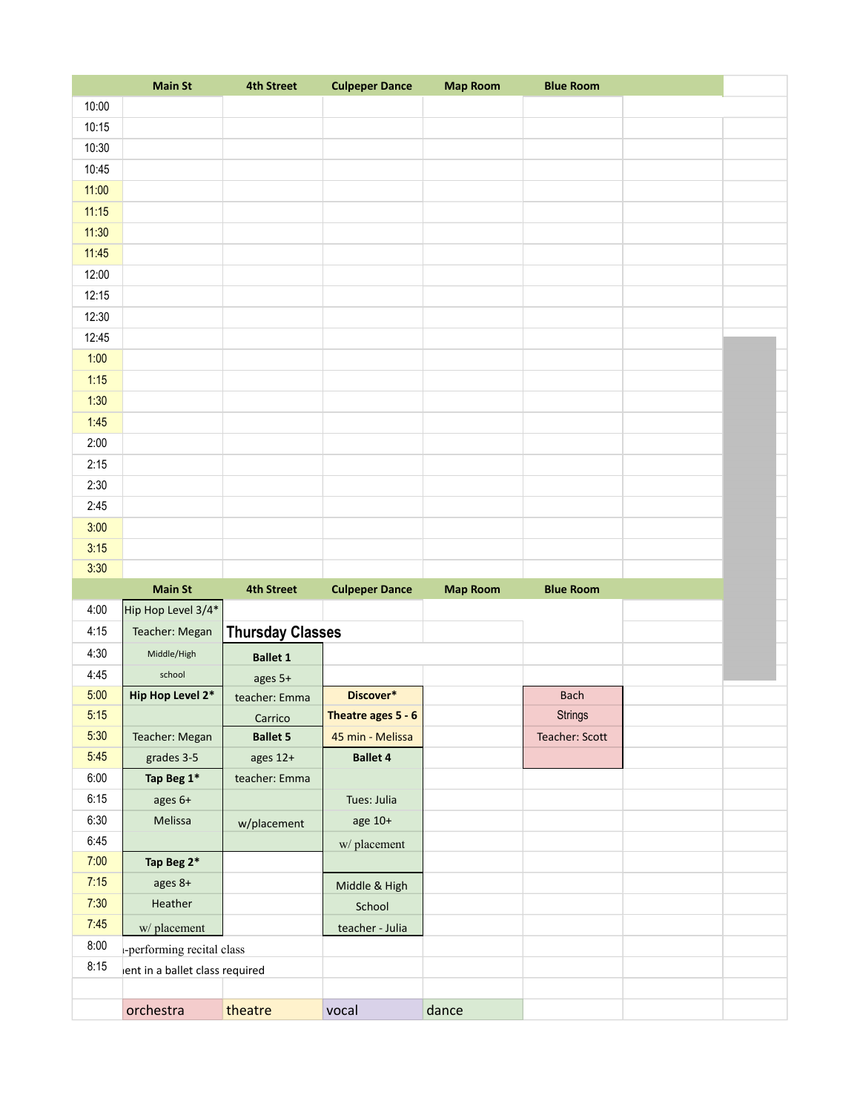|       | <b>Main St</b>                 | <b>4th Street</b>       | <b>Culpeper Dance</b> | <b>Map Room</b> | <b>Blue Room</b> |  |
|-------|--------------------------------|-------------------------|-----------------------|-----------------|------------------|--|
| 10:00 |                                |                         |                       |                 |                  |  |
| 10:15 |                                |                         |                       |                 |                  |  |
| 10:30 |                                |                         |                       |                 |                  |  |
| 10:45 |                                |                         |                       |                 |                  |  |
| 11:00 |                                |                         |                       |                 |                  |  |
| 11:15 |                                |                         |                       |                 |                  |  |
| 11:30 |                                |                         |                       |                 |                  |  |
| 11:45 |                                |                         |                       |                 |                  |  |
| 12:00 |                                |                         |                       |                 |                  |  |
| 12:15 |                                |                         |                       |                 |                  |  |
| 12:30 |                                |                         |                       |                 |                  |  |
| 12:45 |                                |                         |                       |                 |                  |  |
| 1:00  |                                |                         |                       |                 |                  |  |
| 1:15  |                                |                         |                       |                 |                  |  |
| 1:30  |                                |                         |                       |                 |                  |  |
| 1:45  |                                |                         |                       |                 |                  |  |
| 2:00  |                                |                         |                       |                 |                  |  |
| 2:15  |                                |                         |                       |                 |                  |  |
| 2:30  |                                |                         |                       |                 |                  |  |
| 2:45  |                                |                         |                       |                 |                  |  |
| 3:00  |                                |                         |                       |                 |                  |  |
| 3:15  |                                |                         |                       |                 |                  |  |
| 3:30  |                                |                         |                       |                 |                  |  |
|       | <b>Main St</b>                 | <b>4th Street</b>       | <b>Culpeper Dance</b> | <b>Map Room</b> | <b>Blue Room</b> |  |
| 4:00  | Hip Hop Level 3/4*             |                         |                       |                 |                  |  |
| 4:15  | Teacher: Megan                 | <b>Thursday Classes</b> |                       |                 |                  |  |
| 4:30  | Middle/High                    | <b>Ballet 1</b>         |                       |                 |                  |  |
| 4:45  | school                         | ages 5+                 |                       |                 |                  |  |
| 5:00  | Hip Hop Level 2*               | teacher: Emma           | Discover*             |                 | <b>Bach</b>      |  |
| 5:15  |                                | Carrico                 | Theatre ages 5 - 6    |                 | <b>Strings</b>   |  |
| 5:30  | Teacher: Megan                 | <b>Ballet 5</b>         | 45 min - Melissa      |                 | Teacher: Scott   |  |
| 5:45  | grades 3-5                     | ages 12+                | <b>Ballet 4</b>       |                 |                  |  |
| 6:00  | Tap Beg 1*                     | teacher: Emma           |                       |                 |                  |  |
| 6:15  | ages 6+                        |                         | Tues: Julia           |                 |                  |  |
| 6:30  | Melissa                        | w/placement             | age 10+               |                 |                  |  |
| 6:45  |                                |                         | w/placement           |                 |                  |  |
| 7:00  | Tap Beg 2*                     |                         |                       |                 |                  |  |
| 7:15  | ages 8+                        |                         | Middle & High         |                 |                  |  |
| 7:30  | Heather                        |                         | School                |                 |                  |  |
| 7:45  | w/placement                    |                         | teacher - Julia       |                 |                  |  |
| 8:00  | -performing recital class      |                         |                       |                 |                  |  |
| 8:15  | ent in a ballet class required |                         |                       |                 |                  |  |
|       |                                |                         |                       |                 |                  |  |
|       | orchestra                      | theatre                 | vocal                 | dance           |                  |  |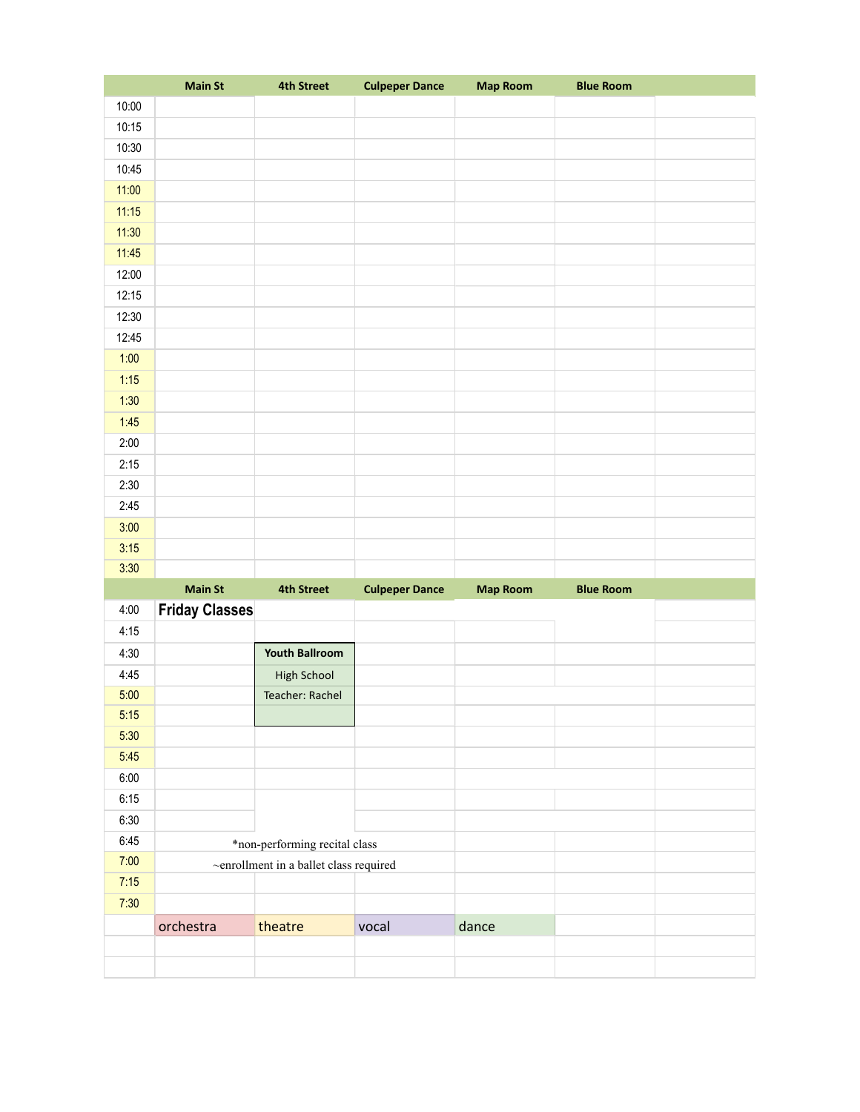|       | <b>Main St</b>        | <b>4th Street</b>                      | <b>Culpeper Dance</b> | <b>Map Room</b> | <b>Blue Room</b> |  |
|-------|-----------------------|----------------------------------------|-----------------------|-----------------|------------------|--|
| 10:00 |                       |                                        |                       |                 |                  |  |
| 10:15 |                       |                                        |                       |                 |                  |  |
| 10:30 |                       |                                        |                       |                 |                  |  |
| 10:45 |                       |                                        |                       |                 |                  |  |
| 11:00 |                       |                                        |                       |                 |                  |  |
| 11:15 |                       |                                        |                       |                 |                  |  |
| 11:30 |                       |                                        |                       |                 |                  |  |
| 11:45 |                       |                                        |                       |                 |                  |  |
| 12:00 |                       |                                        |                       |                 |                  |  |
| 12:15 |                       |                                        |                       |                 |                  |  |
| 12:30 |                       |                                        |                       |                 |                  |  |
| 12:45 |                       |                                        |                       |                 |                  |  |
| 1:00  |                       |                                        |                       |                 |                  |  |
| 1:15  |                       |                                        |                       |                 |                  |  |
| 1:30  |                       |                                        |                       |                 |                  |  |
| 1:45  |                       |                                        |                       |                 |                  |  |
| 2:00  |                       |                                        |                       |                 |                  |  |
| 2:15  |                       |                                        |                       |                 |                  |  |
| 2:30  |                       |                                        |                       |                 |                  |  |
| 2:45  |                       |                                        |                       |                 |                  |  |
| 3:00  |                       |                                        |                       |                 |                  |  |
|       |                       |                                        |                       |                 |                  |  |
| 3:15  |                       |                                        |                       |                 |                  |  |
| 3:30  |                       |                                        |                       |                 |                  |  |
|       | <b>Main St</b>        | <b>4th Street</b>                      | <b>Culpeper Dance</b> | <b>Map Room</b> | <b>Blue Room</b> |  |
| 4:00  | <b>Friday Classes</b> |                                        |                       |                 |                  |  |
| 4:15  |                       |                                        |                       |                 |                  |  |
| 4:30  |                       | <b>Youth Ballroom</b>                  |                       |                 |                  |  |
| 4:45  |                       | High School                            |                       |                 |                  |  |
| 5:00  |                       | Teacher: Rachel                        |                       |                 |                  |  |
| 5:15  |                       |                                        |                       |                 |                  |  |
| 5:30  |                       |                                        |                       |                 |                  |  |
| 5:45  |                       |                                        |                       |                 |                  |  |
| 6:00  |                       |                                        |                       |                 |                  |  |
| 6:15  |                       |                                        |                       |                 |                  |  |
| 6:30  |                       |                                        |                       |                 |                  |  |
| 6:45  |                       | *non-performing recital class          |                       |                 |                  |  |
| 7:00  |                       | ~enrollment in a ballet class required |                       |                 |                  |  |
| 7:15  |                       |                                        |                       |                 |                  |  |
| 7:30  |                       |                                        |                       |                 |                  |  |
|       | orchestra             | theatre                                | vocal                 | dance           |                  |  |
|       |                       |                                        |                       |                 |                  |  |